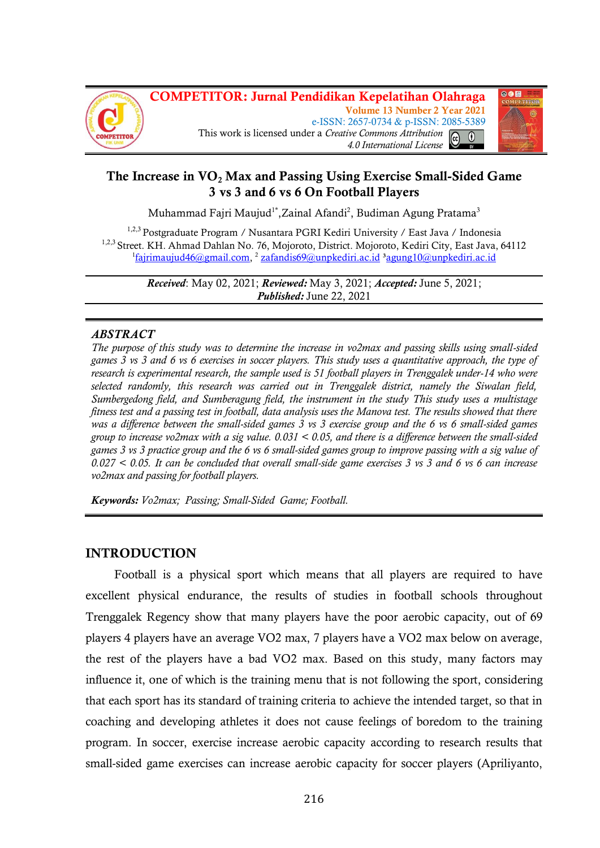



# **The Increase in VO<sup>2</sup> Max and Passing Using Exercise Small-Sided Game 3 vs 3 and 6 vs 6 On Football Players**

Muhammad Fajri Maujud<sup>1\*</sup>,Zainal Afandi<sup>2</sup>, Budiman Agung Pratama<sup>3</sup>

<sup>1,2,3</sup> Postgraduate Program / Nusantara PGRI Kediri University / East Java / Indonesia <sup>1,2,3</sup> Street. KH. Ahmad Dahlan No. 76, Mojoroto, District. Mojoroto, Kediri City, East Java, 64112 <sup>1</sup>[fajrimaujud46@gmail.com,](mailto:fajrimaujud46@gmail.com) <sup>2</sup> [zafandis69@unpkediri.ac.id](mailto:zafandis69@unpkediri.ac.id) <sup>3</sup>agung10@unpkediri.ac.id

> *Received*: May 02, 2021; *Reviewed:* May 3, 2021; *Accepted:* June 5, 2021; *Published:* June 22, 2021

## *ABSTRACT*

*The purpose of this study was to determine the increase in vo2max and passing skills using small-sided games 3 vs 3 and 6 vs 6 exercises in soccer players. This study uses a quantitative approach, the type of research is experimental research, the sample used is 51 football players in Trenggalek under-14 who were selected randomly, this research was carried out in Trenggalek district, namely the Siwalan field, Sumbergedong field, and Sumberagung field, the instrument in the study This study uses a multistage fitness test and a passing test in football, data analysis uses the Manova test. The results showed that there was a difference between the small-sided games 3 vs 3 exercise group and the 6 vs 6 small-sided games group to increase vo2max with a sig value. 0.031 < 0.05, and there is a difference between the small-sided games 3 vs 3 practice group and the 6 vs 6 small-sided games group to improve passing with a sig value of 0.027 < 0.05. It can be concluded that overall small-side game exercises 3 vs 3 and 6 vs 6 can increase vo2max and passing for football players.*

*Keywords: Vo2max; Passing; Small-Sided Game; Football.*

# **INTRODUCTION**

Football is a physical sport which means that all players are required to have excellent physical endurance, the results of studies in football schools throughout Trenggalek Regency show that many players have the poor aerobic capacity, out of 69 players 4 players have an average VO2 max, 7 players have a VO2 max below on average, the rest of the players have a bad VO2 max. Based on this study, many factors may influence it, one of which is the training menu that is not following the sport, considering that each sport has its standard of training criteria to achieve the intended target, so that in coaching and developing athletes it does not cause feelings of boredom to the training program. In soccer, exercise increase aerobic capacity according to research results that small-sided game exercises can increase aerobic capacity for soccer players (Apriliyanto,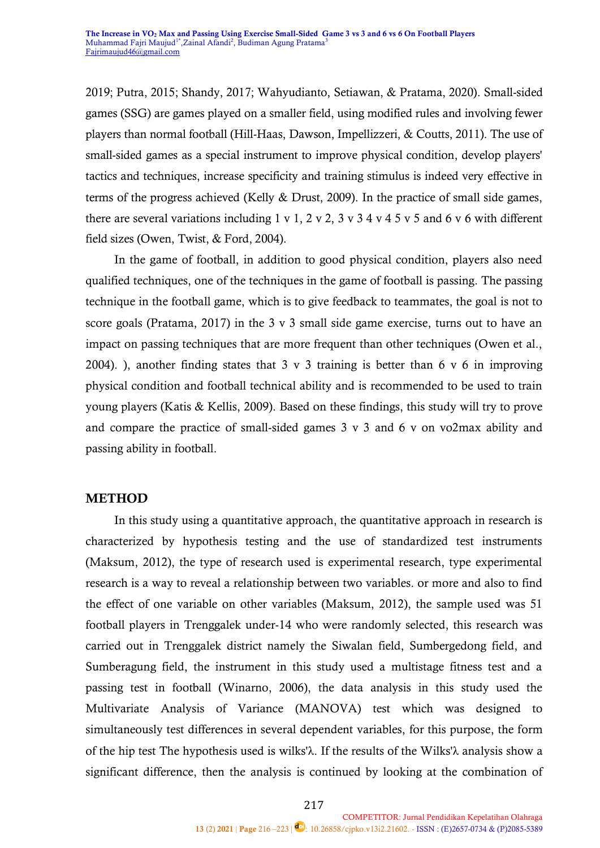2019; Putra, 2015; Shandy, 2017; Wahyudianto, Setiawan, & Pratama, 2020). Small-sided games (SSG) are games played on a smaller field, using modified rules and involving fewer players than normal football (Hill-Haas, Dawson, Impellizzeri, & Coutts, 2011). The use of small-sided games as a special instrument to improve physical condition, develop players' tactics and techniques, increase specificity and training stimulus is indeed very effective in terms of the progress achieved (Kelly & Drust, 2009). In the practice of small side games, there are several variations including  $1 \times 1$ ,  $2 \times 2$ ,  $3 \times 3 \times 4 \times 4 \times 5 \times 5$  and 6  $\times$  6 with different field sizes (Owen, Twist, & Ford, 2004).

In the game of football, in addition to good physical condition, players also need qualified techniques, one of the techniques in the game of football is passing. The passing technique in the football game, which is to give feedback to teammates, the goal is not to score goals (Pratama, 2017) in the 3 v 3 small side game exercise, turns out to have an impact on passing techniques that are more frequent than other techniques (Owen et al., 2004). ), another finding states that  $3 \times 3$  training is better than 6  $\times 6$  in improving physical condition and football technical ability and is recommended to be used to train young players (Katis & Kellis, 2009). Based on these findings, this study will try to prove and compare the practice of small-sided games 3 v 3 and 6 v on vo2max ability and passing ability in football.

## **METHOD**

In this study using a quantitative approach, the quantitative approach in research is characterized by hypothesis testing and the use of standardized test instruments (Maksum, 2012), the type of research used is experimental research, type experimental research is a way to reveal a relationship between two variables. or more and also to find the effect of one variable on other variables (Maksum, 2012), the sample used was 51 football players in Trenggalek under-14 who were randomly selected, this research was carried out in Trenggalek district namely the Siwalan field, Sumbergedong field, and Sumberagung field, the instrument in this study used a multistage fitness test and a passing test in football (Winarno, 2006), the data analysis in this study used the [Multivariate Analysis of Variance \(MANOVA\)](https://www.statistikian.com/2012/07/multivariate-analysis-of-variance-manova.html) test which was designed to simultaneously test differences in several dependent variables, for this purpose, the form of the hip test The hypothesis used is wilks'λ. If the results of the Wilks'λ analysis show a significant difference, then the analysis is continued by looking at the combination of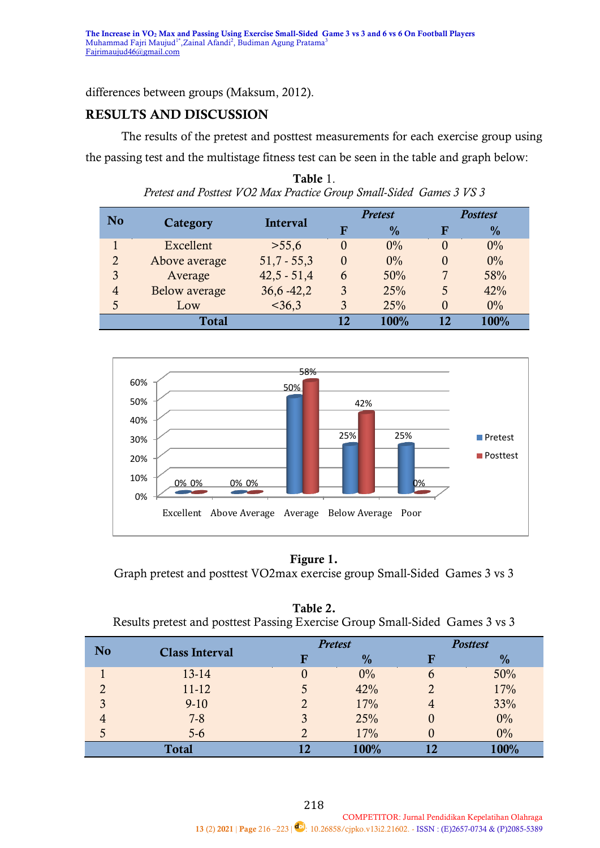differences between groups (Maksum, 2012).

# **RESULTS AND DISCUSSION**

The results of the pretest and posttest measurements for each exercise group using the passing test and the multistage fitness test can be seen in the table and graph below:

| N <sub>o</sub> | Category      | <b>Interval</b> | <b>Pretest</b> |               | <b>Posttest</b> |               |
|----------------|---------------|-----------------|----------------|---------------|-----------------|---------------|
|                |               |                 | F              | $\frac{0}{0}$ | F               | $\frac{0}{0}$ |
|                | Excellent     | >55,6           | 0              | 0%            | $\theta$        | $0\%$         |
| $\overline{2}$ | Above average | $51,7 - 55,3$   | $\overline{0}$ | 0%            | $\overline{0}$  | $0\%$         |
| 3              | Average       | $42,5 - 51,4$   | 6              | 50%           |                 | 58%           |
| 4              | Below average | $36,6 - 42,2$   | 3              | 25%           | 5               | 42%           |
| 5              | Low           | $<$ 36,3        | 3              | 25%           | $\Omega$        | $0\%$         |
|                | <b>Total</b>  |                 | 17             | 100%          | 12              | 100%          |





## **Figure 1.**

Graph pretest and posttest VO2max exercise group Small-Sided Games 3 vs 3

| Table 2.                                                                     |  |
|------------------------------------------------------------------------------|--|
| Results pretest and posttest Passing Exercise Group Small-Sided Games 3 vs 3 |  |

| N <sub>o</sub> | <b>Class Interval</b> |   | <b>Pretest</b> | <b>Posttest</b> |               |
|----------------|-----------------------|---|----------------|-----------------|---------------|
|                |                       | F | $\frac{0}{0}$  | F               | $\frac{0}{0}$ |
|                | 13-14                 |   | $0\%$          | $\mathbf b$     | 50%           |
| $\mathcal{D}$  | $11 - 12$             |   | 42%            |                 | 17%           |
| 3              | $9-10$                |   | 17%            |                 | 33%           |
| 4              | $7 - 8$               |   | 25%            | U               | $0\%$         |
| 5              | $5-6$                 |   | 17%            |                 | $0\%$         |
|                | <b>Total</b>          |   | 100%           |                 | 100%          |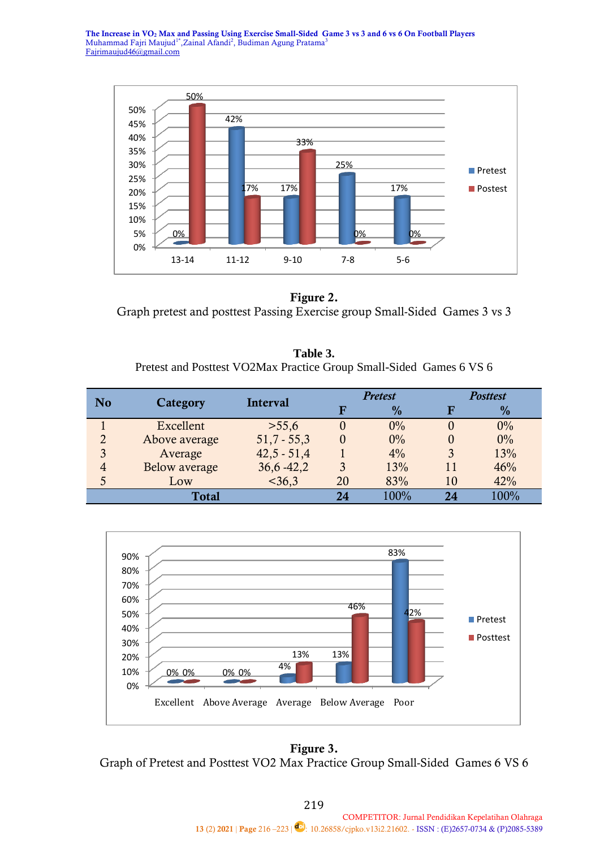**The Increase in VO<sup>2</sup> Max and Passing Using Exercise Small-Sided Game 3 vs 3 and 6 vs 6 On Football Players** Muhammad Fajri Maujud<sup>1\*</sup>, Zainal Afandi<sup>2</sup>, Budiman Agung Pratama<sup>3</sup> [Fajrimaujud46@gmail.com](mailto:Fajrimaujud46@gmail.com)



**Figure 2.** Graph pretest and posttest Passing Exercise group Small-Sided Games 3 vs 3

**Table 3.** Pretest and Posttest VO2Max Practice Group Small-Sided Games 6 VS 6

| N <sub>0</sub> | <b>Category</b> | Interval      | <b>Pretest</b> |               | <b>Posttest</b> |               |
|----------------|-----------------|---------------|----------------|---------------|-----------------|---------------|
|                |                 |               |                | $\frac{0}{0}$ |                 | $\frac{0}{2}$ |
|                | Excellent       | >55,6         | $\Omega$       | 0%            |                 | 0%            |
| $\overline{2}$ | Above average   | $51,7 - 55,3$ | $\theta$       | 0%            |                 | 0%            |
| 3              | Average         | $42,5 - 51,4$ |                | $4\%$         | 3               | 13%           |
| 4              | Below average   | $36,6 - 42,2$ | 3              | 13%           | 11              | 46%           |
| 5              | Low             | $<$ 36,3      | 20             | 83%           | 10              | 42%           |
|                | <b>Total</b>    |               | 24             | $100\%$       |                 | 100%          |



**Figure 3.** Graph of Pretest and Posttest VO2 Max Practice Group Small-Sided Games 6 VS 6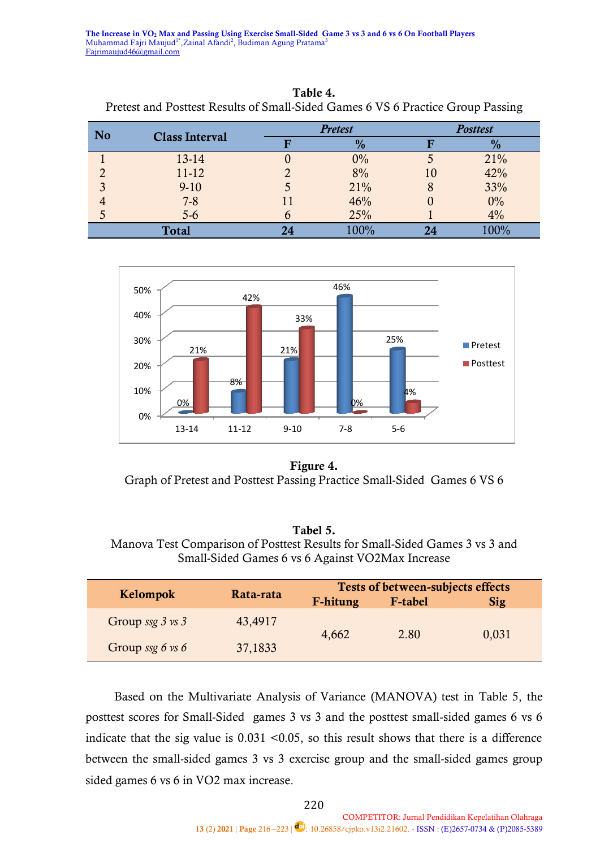**The Increase in VO<sup>2</sup> Max and Passing Using Exercise Small-Sided Game 3 vs 3 and 6 vs 6 On Football Players** Muhammad Fajri Maujud<sup>1\*</sup>, Zainal Afandi<sup>2</sup>, Budiman Agung Pratama<sup>3</sup> [Fajrimaujud46@gmail.com](mailto:Fajrimaujud46@gmail.com)

| <b>No</b>    | <b>Class Interval</b> | <b>Pretest</b> | <b>Posttest</b> |       |  |
|--------------|-----------------------|----------------|-----------------|-------|--|
|              |                       | $\frac{0}{0}$  |                 | $\%$  |  |
|              | 13-14                 | 0%             |                 | 21%   |  |
|              | 11-12                 | 8%             | 10              | 42%   |  |
| 3            | $9-10$                | 21%            | 8               | 33%   |  |
|              | $7 - 8$               | 46%            |                 | $0\%$ |  |
| O            | $5-6$                 | 25%            |                 | 4%    |  |
| <b>Total</b> |                       | 100%           | 24              | 100%  |  |

**Table 4.** Pretest and Posttest Results of Small-Sided Games 6 VS 6 Practice Group Passing



**Figure 4.** Graph of Pretest and Posttest Passing Practice Small-Sided Games 6 VS 6

#### **Tabel 5.**

Manova Test Comparison of Posttest Results for Small-Sided Games 3 vs 3 and Small-Sided Games 6 vs 6 Against VO2Max Increase

|                             | Rata-rata | Tests of between-subjects effects |                |       |  |
|-----------------------------|-----------|-----------------------------------|----------------|-------|--|
| Kelompok                    |           | F-hitung                          | <b>F-tabel</b> | Sig   |  |
| Group ssg $3 \text{ vs } 3$ | 43,4917   | 4,662                             | 2.80           | 0,031 |  |
| Group ssg $6 \text{ vs } 6$ | 37,1833   |                                   |                |       |  |

Based on the [Multivariate Analysis of Variance \(MANOVA\)](https://www.statistikian.com/2012/07/multivariate-analysis-of-variance-manova.html) test in Table 5, the posttest scores for Small-Sided games 3 vs 3 and the posttest small-sided games 6 vs 6 indicate that the sig value is  $0.031$  <0.05, so this result shows that there is a difference between the small-sided games 3 vs 3 exercise group and the small-sided games group sided games 6 vs 6 in VO2 max increase.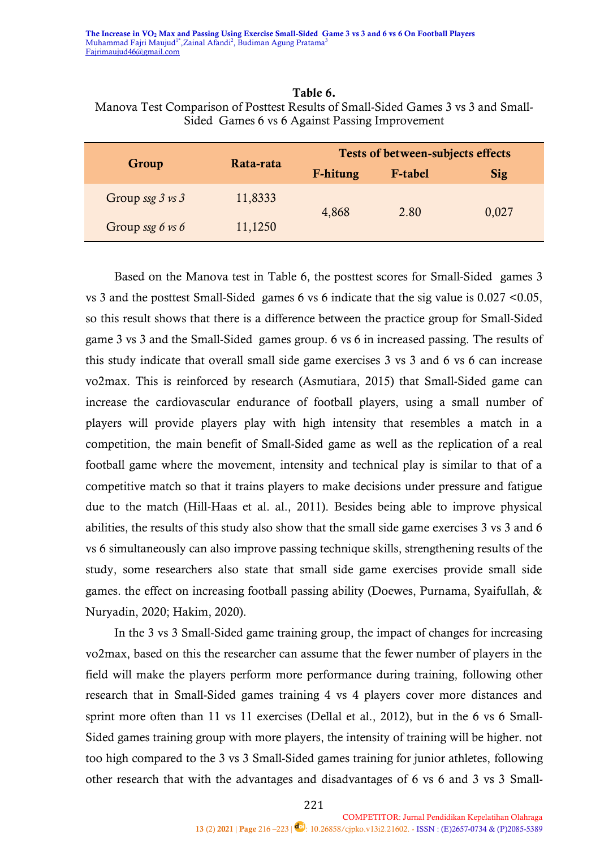| Table 6.                                                                          |
|-----------------------------------------------------------------------------------|
| Manova Test Comparison of Posttest Results of Small-Sided Games 3 vs 3 and Small- |
| Sided Games 6 vs 6 Against Passing Improvement                                    |

|                             | Rata-rata | <b>Tests of between-subjects effects</b> |                |            |  |
|-----------------------------|-----------|------------------------------------------|----------------|------------|--|
| Group                       |           | F-hitung                                 | <b>F-tabel</b> | <b>Sig</b> |  |
| Group ssg $3 \text{ vs } 3$ | 11,8333   | 4,868                                    | 2.80           | 0,027      |  |
| Group ssg $6 \text{ vs } 6$ | 11,1250   |                                          |                |            |  |

Based on the Manova test in Table 6, the posttest scores for Small-Sided games 3 vs 3 and the posttest Small-Sided games 6 vs 6 indicate that the sig value is 0.027 <0.05, so this result shows that there is a difference between the practice group for Small-Sided game 3 vs 3 and the Small-Sided games group. 6 vs 6 in increased passing. The results of this study indicate that overall small side game exercises 3 vs 3 and 6 vs 6 can increase vo2max. This is reinforced by research (Asmutiara, 2015) that Small-Sided game can increase the cardiovascular endurance of football players, using a small number of players will provide players play with high intensity that resembles a match in a competition, the main benefit of Small-Sided game as well as the replication of a real football game where the movement, intensity and technical play is similar to that of a competitive match so that it trains players to make decisions under pressure and fatigue due to the match (Hill-Haas et al. al., 2011). Besides being able to improve physical abilities, the results of this study also show that the small side game exercises 3 vs 3 and 6 vs 6 simultaneously can also improve passing technique skills, strengthening results of the study, some researchers also state that small side game exercises provide small side games. the effect on increasing football passing ability (Doewes, Purnama, Syaifullah, & Nuryadin, 2020; Hakim, 2020).

In the 3 vs 3 Small-Sided game training group, the impact of changes for increasing vo2max, based on this the researcher can assume that the fewer number of players in the field will make the players perform more performance during training, following other research that in Small-Sided games training 4 vs 4 players cover more distances and sprint more often than 11 vs 11 exercises (Dellal et al., 2012), but in the 6 vs 6 Small-Sided games training group with more players, the intensity of training will be higher. not too high compared to the 3 vs 3 Small-Sided games training for junior athletes, following other research that with the advantages and disadvantages of 6 vs 6 and 3 vs 3 Small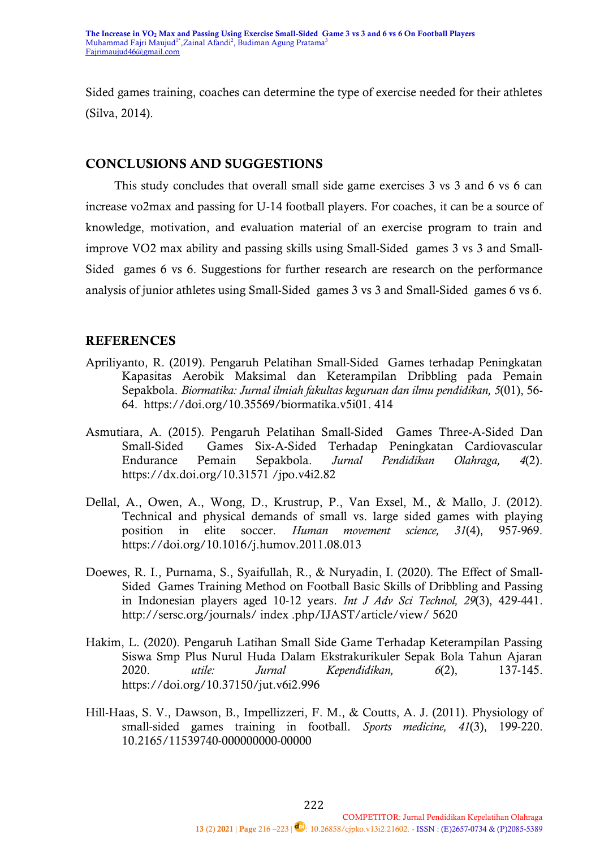Sided games training, coaches can determine the type of exercise needed for their athletes (Silva, 2014).

## **CONCLUSIONS AND SUGGESTIONS**

This study concludes that overall small side game exercises 3 vs 3 and 6 vs 6 can increase vo2max and passing for U-14 football players. For coaches, it can be a source of knowledge, motivation, and evaluation material of an exercise program to train and improve VO2 max ability and passing skills using Small-Sided games 3 vs 3 and Small-Sided games 6 vs 6. Suggestions for further research are research on the performance analysis of junior athletes using Small-Sided games 3 vs 3 and Small-Sided games 6 vs 6.

# **REFERENCES**

- Apriliyanto, R. (2019). Pengaruh Pelatihan Small-Sided Games terhadap Peningkatan Kapasitas Aerobik Maksimal dan Keterampilan Dribbling pada Pemain Sepakbola. *Biormatika: Jurnal ilmiah fakultas keguruan dan ilmu pendidikan, 5*(01), 56- 64. https://doi.org/10.35569/biormatika.v5i01. 414
- Asmutiara, A. (2015). Pengaruh Pelatihan Small-Sided Games Three-A-Sided Dan Small-Sided Games Six-A-Sided Terhadap Peningkatan Cardiovascular Endurance Pemain Sepakbola. *Jurnal Pendidikan Olahraga, 4*(2). https://dx.doi.org/10.31571 /jpo.v4i2.82
- Dellal, A., Owen, A., Wong, D., Krustrup, P., Van Exsel, M., & Mallo, J. (2012). Technical and physical demands of small vs. large sided games with playing position in elite soccer. *Human movement science, 31*(4), 957-969. <https://doi.org/10.1016/j.humov.2011.08.013>
- Doewes, R. I., Purnama, S., Syaifullah, R., & Nuryadin, I. (2020). The Effect of Small-Sided Games Training Method on Football Basic Skills of Dribbling and Passing in Indonesian players aged 10-12 years. *Int J Adv Sci Technol, 29*(3), 429-441. http://sersc.org/journals/ index .php/IJAST/article/view/ 5620
- Hakim, L. (2020). Pengaruh Latihan Small Side Game Terhadap Keterampilan Passing Siswa Smp Plus Nurul Huda Dalam Ekstrakurikuler Sepak Bola Tahun Ajaran 2020. *utile: Jurnal Kependidikan, 6*(2), 137-145. <https://doi.org/10.37150/jut.v6i2.996>
- Hill-Haas, S. V., Dawson, B., Impellizzeri, F. M., & Coutts, A. J. (2011). Physiology of small-sided games training in football. *Sports medicine, 41*(3), 199-220. [10.2165/11539740-000000000-00000](https://doi.org/10.2165/11539740-000000000-00000)